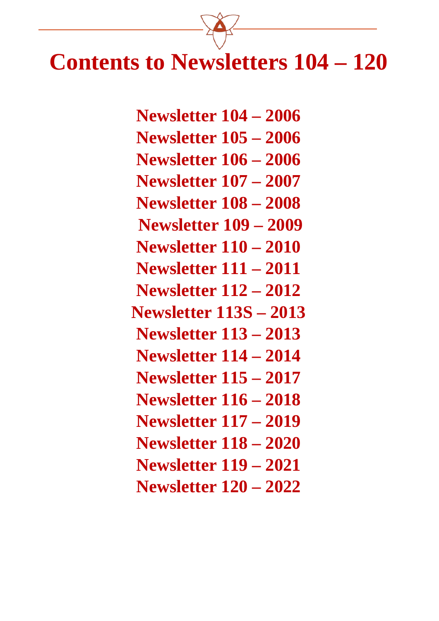# <span id="page-0-1"></span><span id="page-0-0"></span>**Contents to Newsletters 104 – 120**

**[Newsletter 104 –](#page-1-0) 2006 [Newsletter 105 –](#page-2-0) 2006 [Newsletter 106 –](#page-3-0) 2006 [Newsletter 107 –](#page-4-0) 2007 [Newsletter 108 –](#page-5-0) 2008 [Newsletter 109 –](#page-6-0) 2009 [Newsletter 110](#page-7-0) – 2010 [Newsletter 111](#page-8-0) – 2011 [Newsletter 112](#page-9-0) – 2012 [Newsletter 113S](#page-10-0) – 2013 [Newsletter 113](#page-11-0) – 2013 [Newsletter 114](#page-12-0) – 2014 [Newsletter 115](#page-13-0) – 2017 [Newsletter 116 –](#page-14-0) 2018 [Newsletter 117 –](#page-15-0) 2019 [Newsletter 118 –](#page-16-0) 2020 [Newsletter 119 –](#page-17-0) 2021 [Newsletter 120 –](#page-18-0) 2022**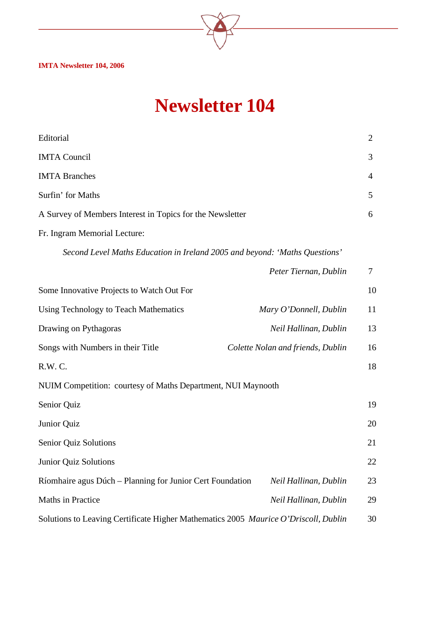

<u> 1989 - Johann Barnett, fransk politiker</u>

 $\overline{\phantom{a}}$ 

<span id="page-1-0"></span>

| Editorial                                                                           |                                   | $\overline{2}$ |
|-------------------------------------------------------------------------------------|-----------------------------------|----------------|
| <b>IMTA Council</b>                                                                 |                                   | 3              |
| <b>IMTA Branches</b>                                                                |                                   | 4              |
| Surfin' for Maths                                                                   |                                   | 5              |
| A Survey of Members Interest in Topics for the Newsletter                           |                                   | 6              |
| Fr. Ingram Memorial Lecture:                                                        |                                   |                |
| Second Level Maths Education in Ireland 2005 and beyond: 'Maths Questions'          |                                   |                |
|                                                                                     | Peter Tiernan, Dublin             | 7              |
| Some Innovative Projects to Watch Out For                                           |                                   | 10             |
| Using Technology to Teach Mathematics                                               | Mary O'Donnell, Dublin            | 11             |
| Drawing on Pythagoras                                                               | Neil Hallinan, Dublin             | 13             |
| Songs with Numbers in their Title                                                   | Colette Nolan and friends, Dublin | 16             |
| R.W. C.                                                                             |                                   | 18             |
| NUIM Competition: courtesy of Maths Department, NUI Maynooth                        |                                   |                |
| Senior Quiz                                                                         |                                   | 19             |
| Junior Quiz                                                                         |                                   | 20             |
| Senior Quiz Solutions                                                               |                                   | 21             |
| <b>Junior Quiz Solutions</b>                                                        |                                   | 22             |
| Ríomhaire agus Dúch – Planning for Junior Cert Foundation                           | Neil Hallinan, Dublin             | 23             |
| Maths in Practice                                                                   | Neil Hallinan, Dublin             | 29             |
| Solutions to Leaving Certificate Higher Mathematics 2005 Maurice O'Driscoll, Dublin |                                   | 30             |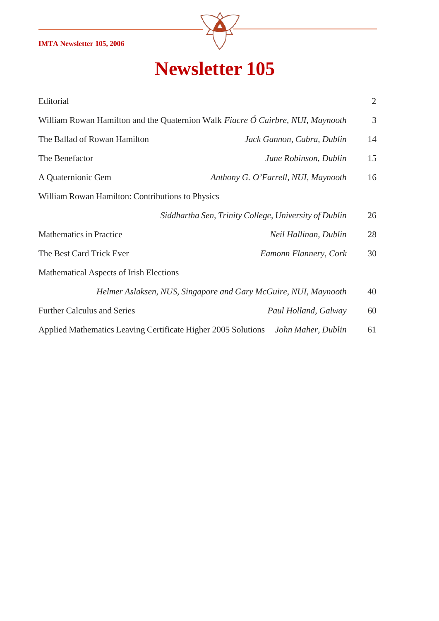

<span id="page-2-0"></span>

| Editorial                                                                      |                                     | 2  |
|--------------------------------------------------------------------------------|-------------------------------------|----|
| William Rowan Hamilton and the Quaternion Walk Fiacre Ó Cairbre, NUI, Maynooth |                                     | 3  |
| The Ballad of Rowan Hamilton                                                   | Jack Gannon, Cabra, Dublin<br>14    |    |
| The Benefactor                                                                 | June Robinson, Dublin               | 15 |
| A Quaternionic Gem                                                             | Anthony G. O'Farrell, NUI, Maynooth | 16 |
| William Rowan Hamilton: Contributions to Physics                               |                                     |    |
| Siddhartha Sen, Trinity College, University of Dublin                          |                                     | 26 |
| <b>Mathematics in Practice</b>                                                 | 28<br>Neil Hallinan, Dublin         |    |
| The Best Card Trick Ever                                                       | 30<br>Eamonn Flannery, Cork         |    |
| Mathematical Aspects of Irish Elections                                        |                                     |    |
| Helmer Aslaksen, NUS, Singapore and Gary McGuire, NUI, Maynooth                | 40                                  |    |
| <b>Further Calculus and Series</b>                                             | Paul Holland, Galway<br>60          |    |
| Applied Mathematics Leaving Certificate Higher 2005 Solutions                  | 61<br>John Maher, Dublin            |    |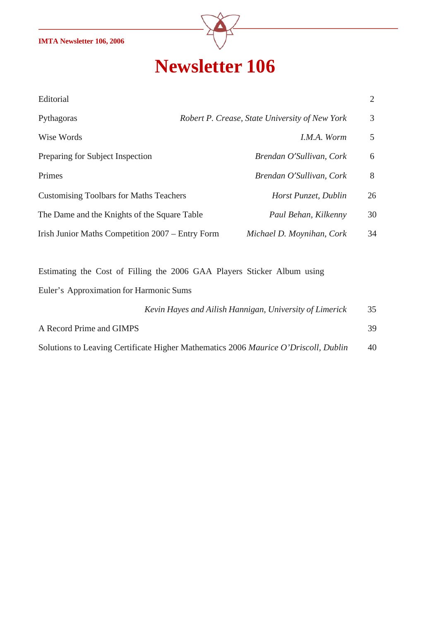

<span id="page-3-0"></span>

| Editorial                                                               |                                                | $\overline{2}$ |
|-------------------------------------------------------------------------|------------------------------------------------|----------------|
| Pythagoras                                                              | Robert P. Crease, State University of New York | 3              |
| Wise Words                                                              | I.M.A. Worm                                    | 5              |
| Preparing for Subject Inspection                                        | Brendan O'Sullivan, Cork                       | 6              |
| Primes                                                                  | Brendan O'Sullivan, Cork                       | 8              |
| <b>Customising Toolbars for Maths Teachers</b>                          | Horst Punzet, Dublin                           | 26             |
| The Dame and the Knights of the Square Table                            | Paul Behan, Kilkenny                           | 30             |
| Irish Junior Maths Competition 2007 – Entry Form                        | Michael D. Moynihan, Cork                      | 34             |
|                                                                         |                                                |                |
| Estimating the Cost of Filling the 2006 GAA Players Sticker Album using |                                                |                |

Euler's Approximation for Harmonic Sums

|                          | Kevin Hayes and Ailish Hannigan, University of Limerick                             | 35 |
|--------------------------|-------------------------------------------------------------------------------------|----|
| A Record Prime and GIMPS |                                                                                     | 39 |
|                          | Solutions to Leaving Certificate Higher Mathematics 2006 Maurice O'Driscoll, Dublin | 40 |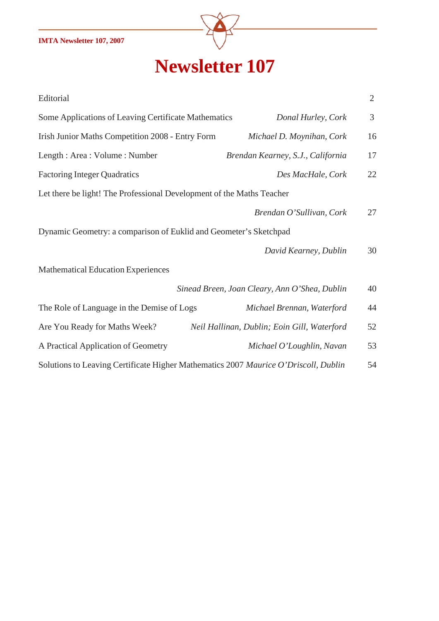<span id="page-4-0"></span>**IMTA Newsletter 107, 2007**



| Editorial                                                                           |                                               | $\overline{2}$ |
|-------------------------------------------------------------------------------------|-----------------------------------------------|----------------|
| Some Applications of Leaving Certificate Mathematics                                | Donal Hurley, Cork                            | 3              |
| Irish Junior Maths Competition 2008 - Entry Form                                    | Michael D. Moynihan, Cork                     | 16             |
| Length: Area: Volume: Number                                                        | Brendan Kearney, S.J., California             | 17             |
| <b>Factoring Integer Quadratics</b>                                                 | Des MacHale, Cork                             | 22             |
| Let there be light! The Professional Development of the Maths Teacher               |                                               |                |
|                                                                                     | Brendan O'Sullivan, Cork                      | 27             |
| Dynamic Geometry: a comparison of Euklid and Geometer's Sketchpad                   |                                               |                |
|                                                                                     | David Kearney, Dublin                         | 30             |
| <b>Mathematical Education Experiences</b>                                           |                                               |                |
|                                                                                     | Sinead Breen, Joan Cleary, Ann O'Shea, Dublin | 40             |
| The Role of Language in the Demise of Logs                                          | Michael Brennan, Waterford                    | 44             |
| Are You Ready for Maths Week?                                                       | Neil Hallinan, Dublin; Eoin Gill, Waterford   | 52             |
| A Practical Application of Geometry                                                 | Michael O'Loughlin, Navan                     | 53             |
| Solutions to Leaving Certificate Higher Mathematics 2007 Maurice O'Driscoll, Dublin |                                               | 54             |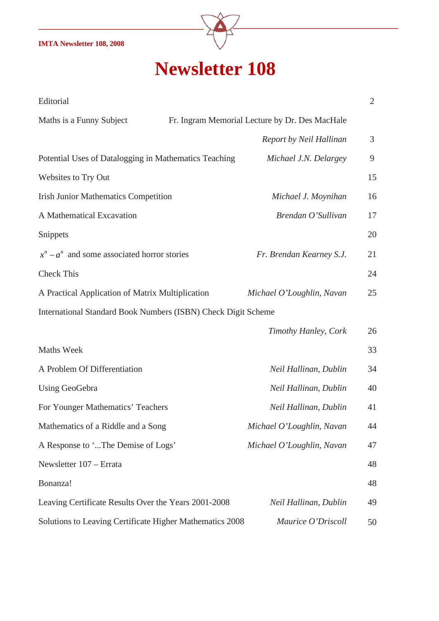<span id="page-5-0"></span>**IMTA Newsletter 108, 2008**



| Editorial                                                     |                                                | $\overline{2}$ |
|---------------------------------------------------------------|------------------------------------------------|----------------|
| Maths is a Funny Subject                                      | Fr. Ingram Memorial Lecture by Dr. Des MacHale |                |
|                                                               | Report by Neil Hallinan                        | 3              |
| Potential Uses of Datalogging in Mathematics Teaching         | Michael J.N. Delargey                          | 9              |
| Websites to Try Out                                           |                                                | 15             |
| <b>Irish Junior Mathematics Competition</b>                   | Michael J. Moynihan                            | 16             |
| A Mathematical Excavation                                     | Brendan O'Sullivan                             | 17             |
| Snippets                                                      |                                                | 20             |
| $x^n - a^n$ and some associated horror stories                | Fr. Brendan Kearney S.J.                       | 21             |
| Check This                                                    |                                                | 24             |
| A Practical Application of Matrix Multiplication              | Michael O'Loughlin, Navan                      | 25             |
| International Standard Book Numbers (ISBN) Check Digit Scheme |                                                |                |
|                                                               | Timothy Hanley, Cork                           | 26             |
| Maths Week                                                    |                                                | 33             |
| A Problem Of Differentiation                                  | Neil Hallinan, Dublin                          | 34             |
| <b>Using GeoGebra</b>                                         | Neil Hallinan, Dublin                          | 40             |
| For Younger Mathematics' Teachers                             | Neil Hallinan, Dublin                          | 41             |
| Mathematics of a Riddle and a Song                            | Michael O'Loughlin, Navan                      | 44             |
| A Response to 'The Demise of Logs'                            | Michael O'Loughlin, Navan                      | 47             |
| Newsletter 107 - Errata                                       |                                                | 48             |
| Bonanza!                                                      |                                                | 48             |
| Leaving Certificate Results Over the Years 2001-2008          | Neil Hallinan, Dublin                          | 49             |
| Solutions to Leaving Certificate Higher Mathematics 2008      | Maurice O'Driscoll                             | 50             |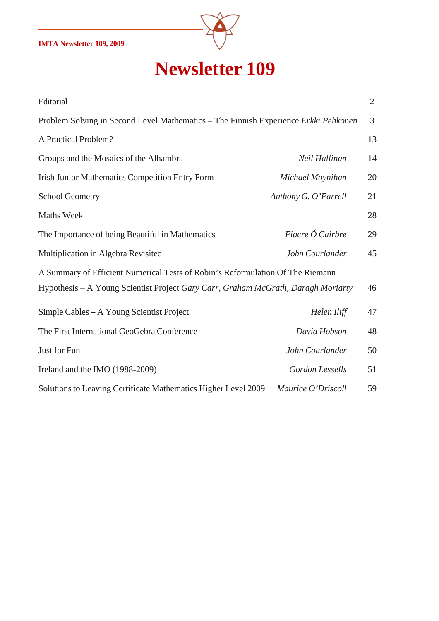

<span id="page-6-0"></span>

| Editorial                                                                           |                      | $\overline{2}$ |
|-------------------------------------------------------------------------------------|----------------------|----------------|
| Problem Solving in Second Level Mathematics - The Finnish Experience Erkki Pehkonen |                      | 3              |
| A Practical Problem?                                                                |                      | 13             |
| Groups and the Mosaics of the Alhambra                                              | Neil Hallinan        | 14             |
| <b>Irish Junior Mathematics Competition Entry Form</b>                              | Michael Moynihan     | 20             |
| <b>School Geometry</b>                                                              | Anthony G. O'Farrell | 21             |
| <b>Maths Week</b>                                                                   |                      | 28             |
| The Importance of being Beautiful in Mathematics                                    | Fiacre Ó Cairbre     | 29             |
| Multiplication in Algebra Revisited                                                 | John Courlander      | 45             |
| A Summary of Efficient Numerical Tests of Robin's Reformulation Of The Riemann      |                      |                |
| Hypothesis - A Young Scientist Project Gary Carr, Graham McGrath, Daragh Moriarty   |                      | 46             |
| Simple Cables - A Young Scientist Project                                           | Helen Iliff          | 47             |
| The First International GeoGebra Conference                                         | David Hobson         | 48             |
| Just for Fun                                                                        | John Courlander      | 50             |
| Ireland and the IMO (1988-2009)                                                     | Gordon Lessells      | 51             |
| Solutions to Leaving Certificate Mathematics Higher Level 2009                      | Maurice O'Driscoll   | 59             |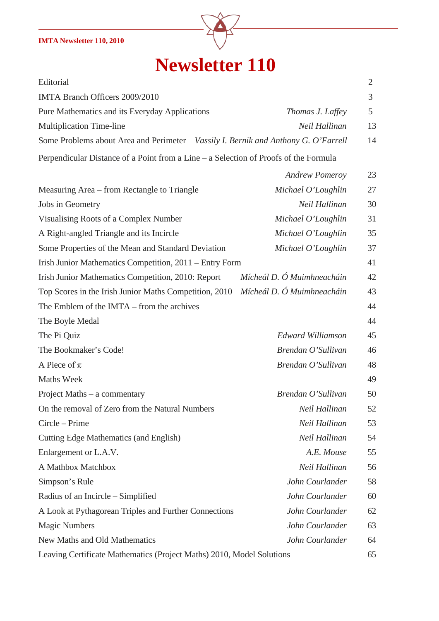### <span id="page-7-0"></span>**IMTA Newsletter 110, 2010**



| Editorial                                                                            |                            | $\overline{2}$ |
|--------------------------------------------------------------------------------------|----------------------------|----------------|
| IMTA Branch Officers 2009/2010                                                       |                            | 3              |
| Pure Mathematics and its Everyday Applications                                       | Thomas J. Laffey           | 5              |
| Multiplication Time-line                                                             | Neil Hallinan              | 13             |
| Some Problems about Area and Perimeter Vassily I. Bernik and Anthony G. O'Farrell    |                            | 14             |
| Perpendicular Distance of a Point from a Line – a Selection of Proofs of the Formula |                            |                |
|                                                                                      | <b>Andrew Pomeroy</b>      | 23             |
| Measuring Area – from Rectangle to Triangle                                          | Michael O'Loughlin         | 27             |
| Jobs in Geometry                                                                     | Neil Hallinan              | 30             |
| Visualising Roots of a Complex Number                                                | Michael O'Loughlin         | 31             |
| A Right-angled Triangle and its Incircle                                             | Michael O'Loughlin         | 35             |
| Some Properties of the Mean and Standard Deviation                                   | Michael O'Loughlin         | 37             |
| Irish Junior Mathematics Competition, 2011 – Entry Form                              |                            | 41             |
| Irish Junior Mathematics Competition, 2010: Report                                   | Mícheál D. Ó Muimhneacháin | 42             |
| Top Scores in the Irish Junior Maths Competition, 2010 Mícheál D. Ó Muimhneacháin    |                            | 43             |
| The Emblem of the IMTA – from the archives                                           |                            | 44             |
| The Boyle Medal                                                                      |                            | 44             |
| The Pi Quiz                                                                          | Edward Williamson          | 45             |
| The Bookmaker's Code!                                                                | Brendan O'Sullivan         | 46             |
| A Piece of $\pi$                                                                     | Brendan O'Sullivan         | 48             |
| <b>Maths Week</b>                                                                    |                            | 49             |
| Project Maths – a commentary                                                         | Brendan O'Sullivan         | 50             |
| On the removal of Zero from the Natural Numbers                                      | Neil Hallinan              | 52             |
| Circle - Prime                                                                       | Neil Hallinan              | 53             |
| <b>Cutting Edge Mathematics (and English)</b>                                        | Neil Hallinan              | 54             |
| Enlargement or L.A.V.                                                                | A.E. Mouse                 | 55             |
| A Mathbox Matchbox                                                                   | Neil Hallinan              | 56             |
| Simpson's Rule                                                                       | John Courlander            | 58             |
| Radius of an Incircle - Simplified                                                   | John Courlander            | 60             |
| A Look at Pythagorean Triples and Further Connections                                | John Courlander            | 62             |
| <b>Magic Numbers</b>                                                                 | John Courlander            | 63             |
| New Maths and Old Mathematics                                                        | John Courlander            | 64             |
| Leaving Certificate Mathematics (Project Maths) 2010, Model Solutions                |                            | 65             |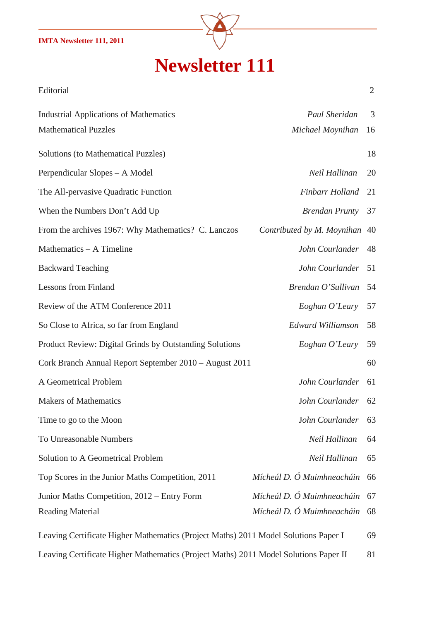### **IMTA Newsletter 111, 2011**

<span id="page-8-0"></span>

| Editorial                                                                           |                               | $\overline{2}$ |
|-------------------------------------------------------------------------------------|-------------------------------|----------------|
| <b>Industrial Applications of Mathematics</b>                                       | Paul Sheridan                 | 3              |
| <b>Mathematical Puzzles</b>                                                         | Michael Moynihan              | 16             |
| Solutions (to Mathematical Puzzles)                                                 |                               | 18             |
| Perpendicular Slopes - A Model                                                      | Neil Hallinan                 | 20             |
| The All-pervasive Quadratic Function                                                | Finbarr Holland               | 21             |
| When the Numbers Don't Add Up                                                       | <b>Brendan Prunty</b>         | 37             |
| From the archives 1967: Why Mathematics? C. Lanczos                                 | Contributed by M. Moynihan 40 |                |
| Mathematics - A Timeline                                                            | John Courlander               | 48             |
| <b>Backward Teaching</b>                                                            | John Courlander               | 51             |
| <b>Lessons from Finland</b>                                                         | Brendan O'Sullivan            | 54             |
| Review of the ATM Conference 2011                                                   | Eoghan O'Leary                | 57             |
| So Close to Africa, so far from England                                             | Edward Williamson             | 58             |
| Product Review: Digital Grinds by Outstanding Solutions                             | Eoghan O'Leary                | 59             |
| Cork Branch Annual Report September 2010 - August 2011                              |                               | 60             |
| A Geometrical Problem                                                               | John Courlander               | 61             |
| <b>Makers of Mathematics</b>                                                        | John Courlander               | 62             |
| Time to go to the Moon                                                              | John Courlander               | 63             |
| To Unreasonable Numbers                                                             | Neil Hallinan                 | 64             |
| Solution to A Geometrical Problem                                                   | Neil Hallinan                 | 65             |
| Top Scores in the Junior Maths Competition, 2011                                    | Mícheál D. Ó Muimhneacháin    | 66             |
| Junior Maths Competition, 2012 – Entry Form                                         | Mícheál D. Ó Muimhneacháin    | 67             |
| <b>Reading Material</b>                                                             | Mícheál D. Ó Muimhneacháin    | 68             |
| Leaving Certificate Higher Mathematics (Project Maths) 2011 Model Solutions Paper I |                               | 69             |

Leaving Certificate Higher Mathematics (Project Maths) 2011 Model Solutions Paper II 81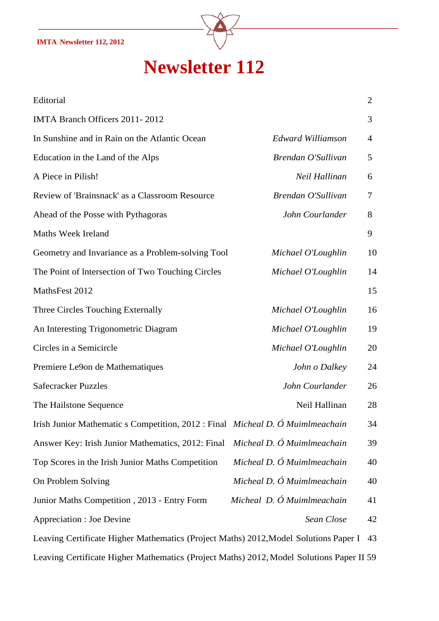### <span id="page-9-0"></span> **IMTA Newsletter 112, 2012**



| Editorial                                                                                |                            | $\overline{2}$ |
|------------------------------------------------------------------------------------------|----------------------------|----------------|
| IMTA Branch Officers 2011-2012                                                           |                            | 3              |
| In Sunshine and in Rain on the Atlantic Ocean                                            | Edward Williamson          | 4              |
| Education in the Land of the Alps                                                        | Brendan O'Sullivan         | 5              |
| A Piece in Pilish!                                                                       | Neil Hallinan              | 6              |
| Review of 'Brainsnack' as a Classroom Resource                                           | Brendan O'Sullivan         | $\overline{7}$ |
| Ahead of the Posse with Pythagoras                                                       | John Courlander            | 8              |
| <b>Maths Week Ireland</b>                                                                |                            | 9              |
| Geometry and Invariance as a Problem-solving Tool                                        | Michael O'Loughlin         | 10             |
| The Point of Intersection of Two Touching Circles                                        | Michael O'Loughlin         | 14             |
| MathsFest 2012                                                                           |                            | 15             |
| Three Circles Touching Externally                                                        | Michael O'Loughlin         | 16             |
| An Interesting Trigonometric Diagram                                                     | Michael O'Loughlin         | 19             |
| Circles in a Semicircle                                                                  | Michael O'Loughlin         | 20             |
| Premiere Le9on de Mathematiques                                                          | John o Dalkey              | 24             |
| <b>Safecracker Puzzles</b>                                                               | John Courlander            | 26             |
| The Hailstone Sequence                                                                   | Neil Hallinan              | 28             |
| Irish Junior Mathematic s Competition, 2012 : Final Micheal D. Ó Muimlmeachain           |                            | 34             |
| Answer Key: Irish Junior Mathematics, 2012: Final                                        | Micheal D. Ó Muimlmeachain | 39             |
| Top Scores in the Irish Junior Maths Competition                                         | Micheal D. Ó Muimlmeachain | 40             |
| On Problem Solving                                                                       | Micheal D. Ó Muimlmeachain | 40             |
| Junior Maths Competition, 2013 - Entry Form                                              | Micheal D. Ó Muimlmeachain | 41             |
| Appreciation : Joe Devine                                                                | Sean Close                 | 42             |
| Leaving Certificate Higher Mathematics (Project Maths) 2012, Model Solutions Paper I     |                            | 43             |
| Leaving Certificate Higher Mathematics (Project Maths) 2012, Model Solutions Paper II 59 |                            |                |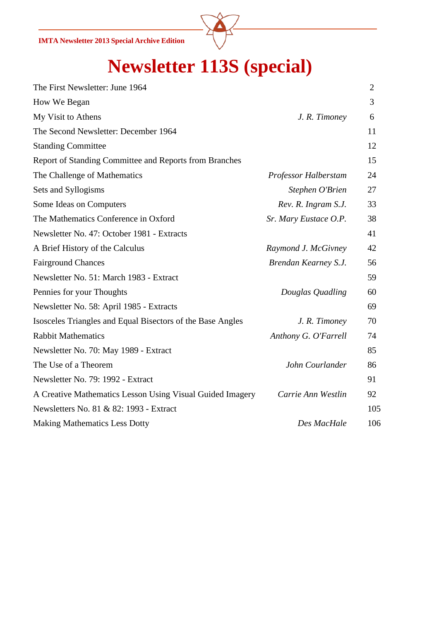<span id="page-10-0"></span>**IMTA Newsletter 2013 Special Archive Edition**



# **[Newsletter 113S \(special\)](#page-0-0)**

| The First Newsletter: June 1964                            |                       | $\overline{2}$ |
|------------------------------------------------------------|-----------------------|----------------|
| How We Began                                               |                       | 3              |
| My Visit to Athens                                         | J. R. Timoney         | 6              |
| The Second Newsletter: December 1964                       |                       | 11             |
| <b>Standing Committee</b>                                  |                       | 12             |
| Report of Standing Committee and Reports from Branches     |                       | 15             |
| The Challenge of Mathematics                               | Professor Halberstam  | 24             |
| Sets and Syllogisms                                        | Stephen O'Brien       | 27             |
| Some Ideas on Computers                                    | Rev. R. Ingram S.J.   | 33             |
| The Mathematics Conference in Oxford                       | Sr. Mary Eustace O.P. | 38             |
| Newsletter No. 47: October 1981 - Extracts                 |                       | 41             |
| A Brief History of the Calculus                            | Raymond J. McGivney   | 42             |
| <b>Fairground Chances</b>                                  | Brendan Kearney S.J.  | 56             |
| Newsletter No. 51: March 1983 - Extract                    |                       | 59             |
| Pennies for your Thoughts                                  | Douglas Quadling      | 60             |
| Newsletter No. 58: April 1985 - Extracts                   |                       | 69             |
| Isosceles Triangles and Equal Bisectors of the Base Angles | J. R. Timoney         | 70             |
| <b>Rabbit Mathematics</b>                                  | Anthony G. O'Farrell  | 74             |
| Newsletter No. 70: May 1989 - Extract                      |                       | 85             |
| The Use of a Theorem                                       | John Courlander       | 86             |
| Newsletter No. 79: 1992 - Extract                          |                       | 91             |
| A Creative Mathematics Lesson Using Visual Guided Imagery  | Carrie Ann Westlin    | 92             |
| Newsletters No. 81 & 82: 1993 - Extract                    |                       | 105            |
| <b>Making Mathematics Less Dotty</b>                       | Des MacHale           | 106            |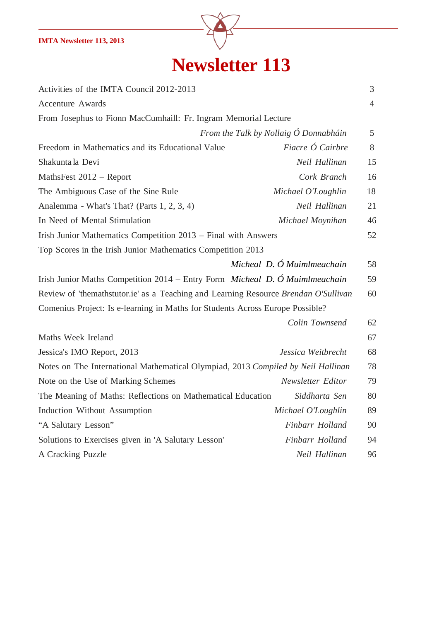

<span id="page-11-0"></span>

| Activities of the IMTA Council 2012-2013                                            |                                       | 3              |
|-------------------------------------------------------------------------------------|---------------------------------------|----------------|
| <b>Accenture Awards</b>                                                             |                                       | $\overline{4}$ |
| From Josephus to Fionn MacCumhaill: Fr. Ingram Memorial Lecture                     |                                       |                |
|                                                                                     | From the Talk by Nollaig Ó Donnabháin | 5              |
| Freedom in Mathematics and its Educational Value                                    | Fiacre Ó Cairbre                      | 8              |
| Shakunta la Devi                                                                    | Neil Hallinan                         | 15             |
| MathsFest 2012 - Report                                                             | Cork Branch                           | 16             |
| The Ambiguous Case of the Sine Rule                                                 | Michael O'Loughlin                    | 18             |
| Analemma - What's That? (Parts 1, 2, 3, 4)                                          | Neil Hallinan                         | 21             |
| In Need of Mental Stimulation                                                       | Michael Moynihan                      | 46             |
| Irish Junior Mathematics Competition 2013 – Final with Answers                      |                                       | 52             |
| Top Scores in the Irish Junior Mathematics Competition 2013                         |                                       |                |
|                                                                                     | Micheal D. Ó Muimlmeachain            | 58             |
| Irish Junior Maths Competition 2014 - Entry Form Micheal D. Ó Muimlmeachain         |                                       | 59             |
| Review of 'themathstutor.ie' as a Teaching and Learning Resource Brendan O'Sullivan |                                       | 60             |
| Comenius Project: Is e-learning in Maths for Students Across Europe Possible?       |                                       |                |
|                                                                                     | Colin Townsend                        | 62             |
| Maths Week Ireland                                                                  |                                       | 67             |
| Jessica's IMO Report, 2013                                                          | Jessica Weitbrecht                    | 68             |
| Notes on The International Mathematical Olympiad, 2013 Compiled by Neil Hallinan    |                                       | 78             |
| Note on the Use of Marking Schemes                                                  | Newsletter Editor                     | 79             |
| The Meaning of Maths: Reflections on Mathematical Education                         | Siddharta Sen                         | 80             |
| <b>Induction Without Assumption</b>                                                 | Michael O'Loughlin                    | 89             |
| "A Salutary Lesson"                                                                 | Finbarr Holland                       | 90             |
| Solutions to Exercises given in 'A Salutary Lesson'                                 | Finbarr Holland                       | 94             |
| A Cracking Puzzle                                                                   | Neil Hallinan                         | 96             |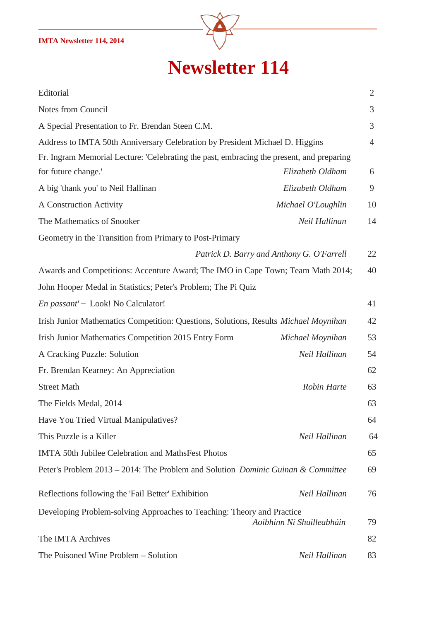### <span id="page-12-0"></span>**IMTA Newsletter 114, 2014**



| Editorial                                                                                |                                           | $\overline{2}$ |
|------------------------------------------------------------------------------------------|-------------------------------------------|----------------|
| Notes from Council                                                                       |                                           | 3              |
| A Special Presentation to Fr. Brendan Steen C.M.                                         |                                           | 3              |
| Address to IMTA 50th Anniversary Celebration by President Michael D. Higgins             |                                           | $\overline{4}$ |
| Fr. Ingram Memorial Lecture: 'Celebrating the past, embracing the present, and preparing |                                           |                |
| for future change.'                                                                      | Elizabeth Oldham                          | 6              |
| A big 'thank you' to Neil Hallinan                                                       | Elizabeth Oldham                          | 9              |
| A Construction Activity                                                                  | Michael O'Loughlin                        | 10             |
| The Mathematics of Snooker                                                               | Neil Hallinan                             | 14             |
| Geometry in the Transition from Primary to Post-Primary                                  |                                           |                |
|                                                                                          | Patrick D. Barry and Anthony G. O'Farrell | 22             |
| Awards and Competitions: Accenture Award; The IMO in Cape Town; Team Math 2014;          |                                           | 40             |
| John Hooper Medal in Statistics; Peter's Problem; The Pi Quiz                            |                                           |                |
| En passant' - Look! No Calculator!                                                       |                                           | 41             |
| Irish Junior Mathematics Competition: Questions, Solutions, Results Michael Moynihan     |                                           | 42             |
| Irish Junior Mathematics Competition 2015 Entry Form                                     | Michael Moynihan                          | 53             |
| A Cracking Puzzle: Solution                                                              | Neil Hallinan                             | 54             |
| Fr. Brendan Kearney: An Appreciation                                                     |                                           | 62             |
| <b>Street Math</b>                                                                       | Robin Harte                               | 63             |
| The Fields Medal, 2014                                                                   |                                           | 63             |
| Have You Tried Virtual Manipulatives?                                                    |                                           | 64             |
| This Puzzle is a Killer                                                                  | Neil Hallinan                             | 64             |
| IMTA 50th Jubilee Celebration and MathsFest Photos                                       |                                           | 65             |
| Peter's Problem 2013 - 2014: The Problem and Solution Dominic Guinan & Committee         |                                           | 69             |
| Reflections following the 'Fail Better' Exhibition                                       | Neil Hallinan                             | 76             |
| Developing Problem-solving Approaches to Teaching: Theory and Practice                   | Aoibhinn Ní Shuilleabháin                 | 79             |
| The IMTA Archives                                                                        |                                           | 82             |
| The Poisoned Wine Problem – Solution                                                     | Neil Hallinan                             | 83             |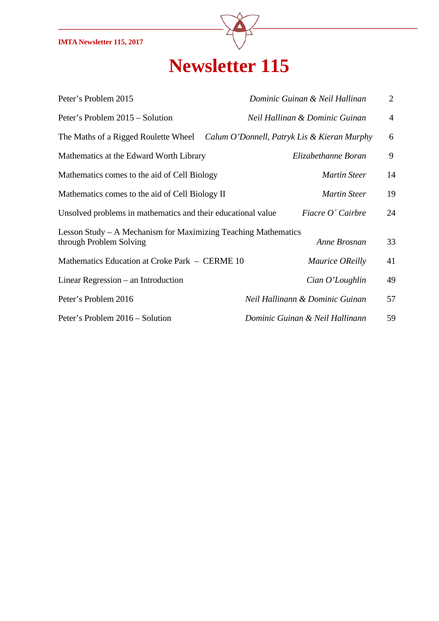

<span id="page-13-0"></span>

| Peter's Problem 2015                                                                        | Dominic Guinan & Neil Hallinan  | 2              |
|---------------------------------------------------------------------------------------------|---------------------------------|----------------|
| Peter's Problem 2015 – Solution                                                             | Neil Hallinan & Dominic Guinan  | $\overline{4}$ |
| The Maths of a Rigged Roulette Wheel <i>Calum O'Donnell, Patryk Lis &amp; Kieran Murphy</i> |                                 | 6              |
| Mathematics at the Edward Worth Library                                                     | Elizabethanne Boran             | 9              |
| Mathematics comes to the aid of Cell Biology                                                | <b>Martin Steer</b>             | 14             |
| Mathematics comes to the aid of Cell Biology II                                             | <b>Martin Steer</b>             | 19             |
| Unsolved problems in mathematics and their educational value                                | Fiacre O'Cairbre                | 24             |
| Lesson Study – A Mechanism for Maximizing Teaching Mathematics<br>through Problem Solving   | Anne Brosnan                    | 33             |
| Mathematics Education at Croke Park – CERME 10                                              | Maurice OReilly                 | 41             |
| Linear Regression $-$ an Introduction                                                       | Cian O' Loughlin                | 49             |
| Peter's Problem 2016                                                                        | Neil Hallinann & Dominic Guinan | 57             |
| Peter's Problem 2016 – Solution                                                             | Dominic Guinan & Neil Hallinann | 59             |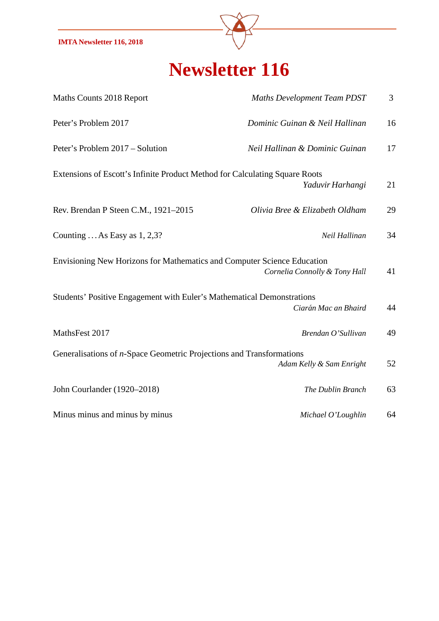

<span id="page-14-0"></span>

| Maths Counts 2018 Report                                                     | <b>Maths Development Team PDST</b> | 3  |
|------------------------------------------------------------------------------|------------------------------------|----|
| Peter's Problem 2017                                                         | Dominic Guinan & Neil Hallinan     | 16 |
| Peter's Problem 2017 – Solution                                              | Neil Hallinan & Dominic Guinan     | 17 |
| Extensions of Escott's Infinite Product Method for Calculating Square Roots  | Yaduvir Harhangi                   | 21 |
| Rev. Brendan P Steen C.M., 1921-2015                                         | Olivia Bree & Elizabeth Oldham     | 29 |
| Counting $\dots$ As Easy as 1, 2,3?                                          | Neil Hallinan                      | 34 |
| Envisioning New Horizons for Mathematics and Computer Science Education      | Cornelia Connolly & Tony Hall      | 41 |
| Students' Positive Engagement with Euler's Mathematical Demonstrations       | Ciarán Mac an Bhaird               | 44 |
| MathsFest 2017                                                               | Brendan O'Sullivan                 | 49 |
| Generalisations of <i>n</i> -Space Geometric Projections and Transformations | Adam Kelly & Sam Enright           | 52 |
| John Courlander (1920–2018)                                                  | The Dublin Branch                  | 63 |
| Minus minus and minus by minus                                               | Michael O'Loughlin                 | 64 |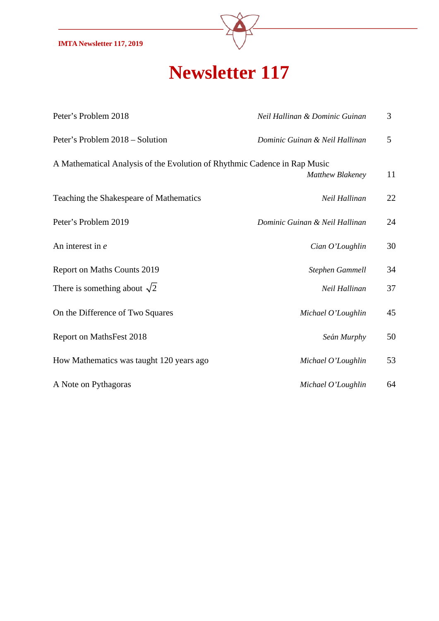### <span id="page-15-0"></span>**IMTA Newsletter 117, 2019**



| Peter's Problem 2018                                                      | Neil Hallinan & Dominic Guinan | 3  |
|---------------------------------------------------------------------------|--------------------------------|----|
| Peter's Problem 2018 – Solution                                           | Dominic Guinan & Neil Hallinan | 5  |
| A Mathematical Analysis of the Evolution of Rhythmic Cadence in Rap Music |                                |    |
|                                                                           | Matthew Blakeney               | 11 |
| Teaching the Shakespeare of Mathematics                                   | Neil Hallinan                  | 22 |
| Peter's Problem 2019                                                      | Dominic Guinan & Neil Hallinan | 24 |
| An interest in $e$                                                        | Cian O'Loughlin                | 30 |
| <b>Report on Maths Counts 2019</b>                                        | Stephen Gammell                | 34 |
| There is something about $\sqrt{2}$                                       | Neil Hallinan                  | 37 |
| On the Difference of Two Squares                                          | Michael O'Loughlin             | 45 |
| Report on MathsFest 2018                                                  | Seán Murphy                    | 50 |
| How Mathematics was taught 120 years ago                                  | Michael O'Loughlin             | 53 |
| A Note on Pythagoras                                                      | Michael O'Loughlin             | 64 |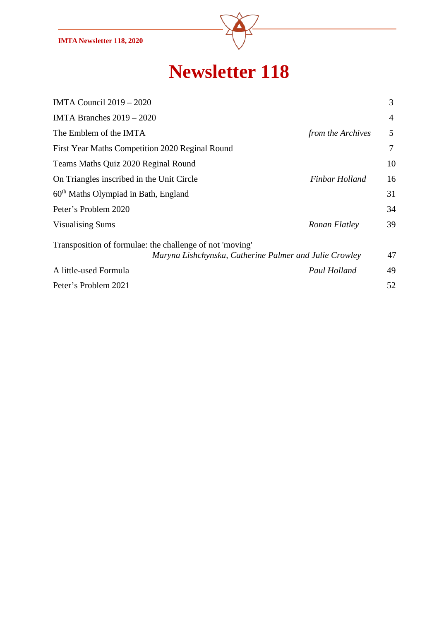

<span id="page-16-0"></span>

| <b>IMTA Council 2019 – 2020</b>                                                                                    |                   | 3              |
|--------------------------------------------------------------------------------------------------------------------|-------------------|----------------|
| IMTA Branches $2019 - 2020$                                                                                        |                   | $\overline{4}$ |
| The Emblem of the IMTA                                                                                             | from the Archives | 5              |
| First Year Maths Competition 2020 Reginal Round                                                                    |                   | $\tau$         |
| Teams Maths Quiz 2020 Reginal Round                                                                                |                   | 10             |
| On Triangles inscribed in the Unit Circle                                                                          | Finbar Holland    | 16             |
| 60 <sup>th</sup> Maths Olympiad in Bath, England                                                                   |                   | 31             |
| Peter's Problem 2020                                                                                               |                   | 34             |
| <b>Visualising Sums</b>                                                                                            | Ronan Flatley     | 39             |
| Transposition of formulae: the challenge of not 'moving'<br>Maryna Lishchynska, Catherine Palmer and Julie Crowley |                   | 47             |
| A little-used Formula                                                                                              | Paul Holland      | 49             |
| Peter's Problem 2021                                                                                               |                   | 52             |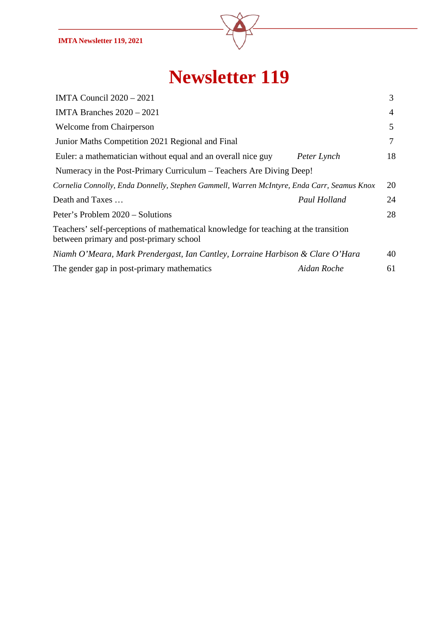

<span id="page-17-0"></span>

| <b>IMTA Council 2020 - 2021</b>                                                                                                |              | 3  |
|--------------------------------------------------------------------------------------------------------------------------------|--------------|----|
| IMTA Branches $2020 - 2021$                                                                                                    |              | 4  |
| <b>Welcome from Chairperson</b>                                                                                                |              | 5  |
| Junior Maths Competition 2021 Regional and Final                                                                               |              | 7  |
| Euler: a mathematician without equal and an overall nice guy                                                                   | Peter Lynch  | 18 |
| Numeracy in the Post-Primary Curriculum – Teachers Are Diving Deep!                                                            |              |    |
| Cornelia Connolly, Enda Donnelly, Stephen Gammell, Warren McIntyre, Enda Carr, Seamus Knox                                     |              | 20 |
| Death and Taxes                                                                                                                | Paul Holland | 24 |
| Peter's Problem 2020 – Solutions                                                                                               |              | 28 |
| Teachers' self-perceptions of mathematical knowledge for teaching at the transition<br>between primary and post-primary school |              |    |
| Niamh O'Meara, Mark Prendergast, Ian Cantley, Lorraine Harbison & Clare O'Hara                                                 |              | 40 |
| The gender gap in post-primary mathematics                                                                                     | Aidan Roche  | 61 |